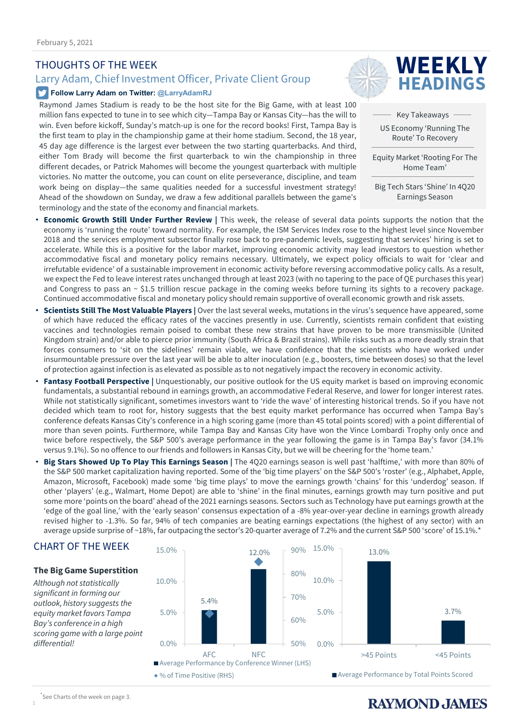#### THOUGHTS OF THE WEEK

#### Larry Adam, Chief Investment Officer, Private Client Group

#### **Follow Larry Adam on Twitter: @LarryAdamRJ**

Raymond James Stadium is ready to be the host site for the Big Game, with at least 100 million fans expected to tune in to see which city—Tampa Bay or Kansas City—has the will to win. Even before kickoff, Sunday's match-up is one for the record books! First, Tampa Bay is the first team to play in the championship game at their home stadium. Second, the 18 year, 45 day age difference is the largest ever between the two starting quarterbacks. And third, either Tom Brady will become the first quarterback to win the championship in three different decades, or Patrick Mahomes will become the youngest quarterback with multiple victories. No matter the outcome, you can count on elite perseverance, discipline, and team work being on display—the same qualities needed for a successful investment strategy! Ahead of the showdown on Sunday, we draw a few additional parallels between the game's terminology and the state of the economy and financial markets.



Key Takeaways US Economy 'Running The Route' To Recovery

Equity Market 'Rooting For The Home Team'

Big Tech Stars 'Shine' In 4Q20 Earnings Season

- **Economic Growth Still Under Further Review |** This week, the release of several data points supports the notion that the economy is 'running the route' toward normality. For example, the ISM Services Index rose to the highest level since November 2018 and the services employment subsector finally rose back to pre-pandemic levels, suggesting that services' hiring is set to accelerate. While this is a positive for the labor market, improving economic activity may lead investors to question whether accommodative fiscal and monetary policy remains necessary. Ultimately, we expect policy officials to wait for 'clear and irrefutable evidence' of a sustainable improvement in economic activity before reversing accommodative policy calls. As a result, we expect the Fed to leave interest rates unchanged through at least 2023 (with no tapering to the pace of QE purchases this year) and Congress to pass an ~ \$1.5 trillion rescue package in the coming weeks before turning its sights to a recovery package. Continued accommodative fiscal and monetary policy should remain supportive of overall economic growth and risk assets.
- **Scientists Still The Most Valuable Players |** Over the last several weeks, mutations in the virus's sequence have appeared, some of which have reduced the efficacy rates of the vaccines presently in use. Currently, scientists remain confident that existing vaccines and technologies remain poised to combat these new strains that have proven to be more transmissible (United Kingdom strain) and/or able to pierce prior immunity (South Africa & Brazil strains). While risks such as a more deadly strain that forces consumers to 'sit on the sidelines' remain viable, we have confidence that the scientists who have worked under insurmountable pressure over the last year will be able to alter inoculation (e.g., boosters, time between doses) so that the level of protection against infection is as elevated as possible as to not negatively impact the recovery in economic activity.
- **Fantasy Football Perspective |** Unquestionably, our positive outlook for the US equity market is based on improving economic fundamentals, a substantial rebound in earnings growth, an accommodative Federal Reserve, and lower for longer interest rates. While not statistically significant, sometimes investors want to 'ride the wave' of interesting historical trends. So if you have not decided which team to root for, history suggests that the best equity market performance has occurred when Tampa Bay's conference defeats Kansas City's conference in a high scoring game (more than 45 total points scored) with a point differential of more than seven points. Furthermore, while Tampa Bay and Kansas City have won the Vince Lombardi Trophy only once and twice before respectively, the S&P 500's average performance in the year following the game is in Tampa Bay's favor (34.1% versus 9.1%). So no offence to our friends and followers in Kansas City, but we will be cheering for the 'home team.'
- **Big Stars Showed Up To Play This Earnings Season |** The 4Q20 earnings season is well past 'halftime,' with more than 80% of the S&P 500 market capitalization having reported. Some of the 'big time players' on the S&P 500's 'roster' (e.g., Alphabet, Apple, Amazon, Microsoft, Facebook) made some 'big time plays' to move the earnings growth 'chains' for this 'underdog' season. If other 'players' (e.g., Walmart, Home Depot) are able to 'shine' in the final minutes, earnings growth may turn positive and put some more 'points on the board' ahead of the 2021 earnings seasons. Sectors such as Technology have put earnings growth at the 'edge of the goal line,' with the 'early season' consensus expectation of a -8% year-over-year decline in earnings growth already revised higher to -1.3%. So far, 94% of tech companies are beating earnings expectations (the highest of any sector) with an average upside surprise of ~18%, far outpacing the sector's 20-quarter average of 7.2% and the current S&P 500 'score' of 15.1%.\*

#### CHART OF THE WEEK

#### **The Big Game Superstition**

*Although not statistically significant in forming our outlook, history suggests the equity market favors Tampa Bay's conference in a high scoring game with a large point differential!* 



#### \* See Charts of the week on page 3.

1

### **RAYMOND, JAMES**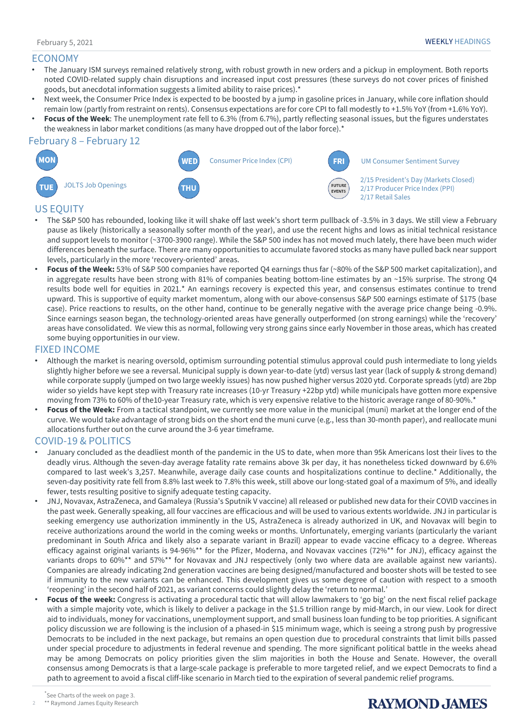#### ECONOMY

- The January ISM surveys remained relatively strong, with robust growth in new orders and a pickup in employment. Both reports noted COVID-related supply chain disruptions and increased input cost pressures (these surveys do not cover prices of finished goods, but anecdotal information suggests a limited ability to raise prices).\*
- Next week, the Consumer Price Index is expected to be boosted by a jump in gasoline prices in January, while core inflation should remain low (partly from restraint on rents). Consensus expectations are for core CPI to fall modestly to +1.5% YoY (from +1.6% YoY).
- **Focus of the Week**: The unemployment rate fell to 6.3% (from 6.7%), partly reflecting seasonal issues, but the figures understates the weakness in labor market conditions (as many have dropped out of the labor force).\*

#### February 8 – February 12



#### US EQUITY

- The S&P 500 has rebounded, looking like it will shake off last week's short term pullback of -3.5% in 3 days. We still view a February pause as likely (historically a seasonally softer month of the year), and use the recent highs and lows as initial technical resistance and support levels to monitor (~3700-3900 range). While the S&P 500 index has not moved much lately, there have been much wider differences beneath the surface. There are many opportunities to accumulate favored stocks as many have pulled back near support levels, particularly in the more 'recovery-oriented' areas.
- **Focus of the Week:** 53% of S&P 500 companies have reported Q4 earnings thus far (~80% of the S&P 500 market capitalization), and in aggregate results have been strong with 81% of companies beating bottom-line estimates by an ~15% surprise. The strong Q4 results bode well for equities in 2021.\* An earnings recovery is expected this year, and consensus estimates continue to trend upward. This is supportive of equity market momentum, along with our above-consensus S&P 500 earnings estimate of \$175 (base case). Price reactions to results, on the other hand, continue to be generally negative with the average price change being -0.9%. Since earnings season began, the technology-oriented areas have generally outperformed (on strong earnings) while the 'recovery' areas have consolidated. We view this as normal, following very strong gains since early November in those areas, which has created some buying opportunities in our view.

#### FIXED INCOME

- Although the market is nearing oversold, optimism surrounding potential stimulus approval could push intermediate to long yields slightly higher before we see a reversal. Municipal supply is down year-to-date (ytd) versus last year (lack of supply & strong demand) while corporate supply (jumped on two large weekly issues) has now pushed higher versus 2020 ytd. Corporate spreads (ytd) are 2bp wider so yields have kept step with Treasury rate increases (10-yr Treasury +22bp ytd) while municipals have gotten more expensive moving from 73% to 60% of the10-year Treasury rate, which is very expensive relative to the historic average range of 80-90%.\*
- **Focus of the Week:** From a tactical standpoint, we currently see more value in the municipal (muni) market at the longer end of the curve. We would take advantage of strong bids on the short end the muni curve (e.g., less than 30-month paper), and reallocate muni allocations further out on the curve around the 3-6 year timeframe.

#### COVID-19 & POLITICS

- January concluded as the deadliest month of the pandemic in the US to date, when more than 95k Americans lost their lives to the deadly virus. Although the seven-day average fatality rate remains above 3k per day, it has nonetheless ticked downward by 6.6% compared to last week's 3,257. Meanwhile, average daily case counts and hospitalizations continue to decline.\* Additionally, the seven-day positivity rate fell from 8.8% last week to 7.8% this week, still above our long-stated goal of a maximum of 5%, and ideally fewer, tests resulting positive to signify adequate testing capacity.
- JNJ, Novavax, AstraZeneca, and Gamaleya (Russia's Sputnik V vaccine) all released or published new data for their COVID vaccines in the past week. Generally speaking, all four vaccines are efficacious and will be used to various extents worldwide. JNJ in particular is seeking emergency use authorization imminently in the US, AstraZeneca is already authorized in UK, and Novavax will begin to receive authorizations around the world in the coming weeks or months. Unfortunately, emerging variants (particularly the variant predominant in South Africa and likely also a separate variant in Brazil) appear to evade vaccine efficacy to a degree. Whereas efficacy against original variants is 94-96%\*\* for the Pfizer, Moderna, and Novavax vaccines (72%\*\* for JNJ), efficacy against the variants drops to 60%\*\* and 57%\*\* for Novavax and JNJ respectively (only two where data are available against new variants). Companies are already indicating 2nd generation vaccines are being designed/manufactured and booster shots will be tested to see if immunity to the new variants can be enhanced. This development gives us some degree of caution with respect to a smooth 'reopening' in the second half of 2021, as variant concerns could slightly delay the 'return to normal.'
- **Focus of the week:** Congress is activating a procedural tactic that will allow lawmakers to 'go big' on the next fiscal relief package with a simple majority vote, which is likely to deliver a package in the \$1.5 trillion range by mid-March, in our view. Look for direct aid to individuals, money for vaccinations, unemployment support, and small business loan funding to be top priorities. A significant policy discussion we are following is the inclusion of a phased-in \$15 minimum wage, which is seeing a strong push by progressive Democrats to be included in the next package, but remains an open question due to procedural constraints that limit bills passed under special procedure to adjustments in federal revenue and spending. The more significant political battle in the weeks ahead may be among Democrats on policy priorities given the slim majorities in both the House and Senate. However, the overall consensus among Democrats is that a large-scale package is preferable to more targeted relief, and we expect Democrats to find a path to agreement to avoid a fiscal cliff-like scenario in March tied to the expiration of several pandemic relief programs.

2

## **RAYMOND, JAMES**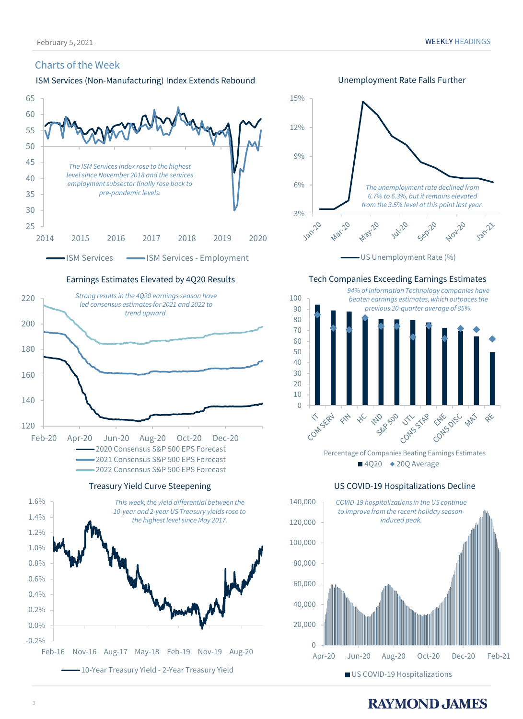#### Charts of the Week



Earnings Estimates Elevated by 4Q20 Results



Treasury Yield Curve Steepening





### **RAYMOND JAMES**

■ US COVID-19 Hospitalizations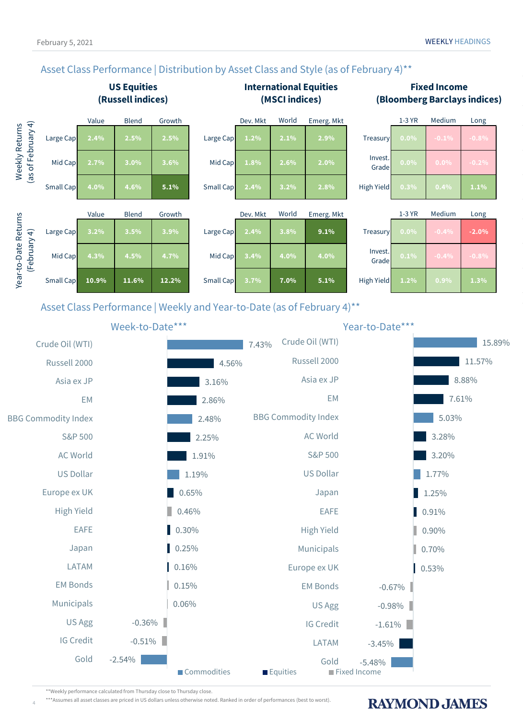**RAYMOND JAMES** 

### Asset Class Performance | Distribution by Asset Class and Style (as of February 4)<sup>\*\*</sup>





\*\*Weekly performance calculated from Thursday close to Thursday close.

4

\*\*\*Assumes all asset classes are priced in US dollars unless otherwise noted. Ranked in order of performances (best to worst).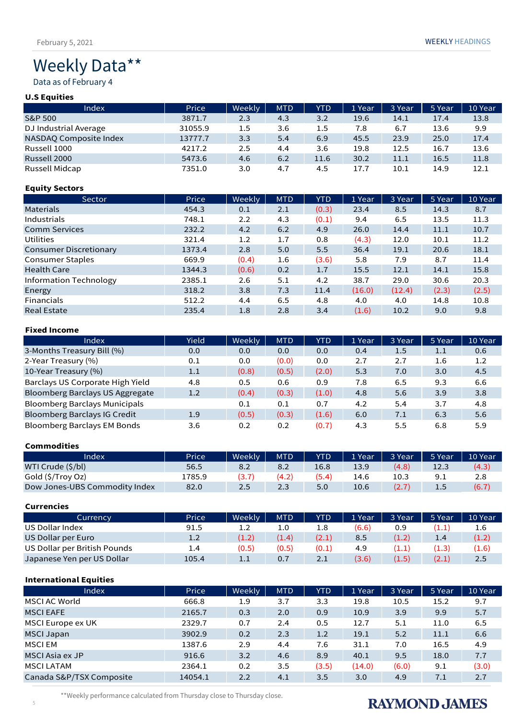# Weekly Data\*\*

Data as of February 4

#### **U.S Equities**

| Index                  | Price   | Weekly | <b>MTD</b> | <b>YTD</b> | 1 Year | 3 Year | 5 Year | 10 Year |
|------------------------|---------|--------|------------|------------|--------|--------|--------|---------|
| <b>S&amp;P 500</b>     | 3871.7  | 2.3    | 4.3        | 3.2        | 19.6   | 14.1   | 17.4   | 13.8    |
| DJ Industrial Average  | 31055.9 | 1.5    | 3.6        | 1.5        | 7.8    | 6.7    | 13.6   | 9.9     |
| NASDAQ Composite Index | 13777.7 | 3.3    | 5.4        | 6.9        | 45.5   | 23.9   | 25.0   | 17.4    |
| Russell 1000           | 4217.2  | 2.5    | 4.4        | 3.6        | 19.8   | 12.5   | 16.7   | 13.6    |
| Russell 2000           | 5473.6  | 4.6    | 6.2        | 11.6       | 30.2   | 11.1   | 16.5   | 11.8    |
| Russell Midcap         | 7351.0  | 3.0    | 4.7        | 4.5        | 17.7   | 10.1   | 14.9   | 12.1    |

#### **Equity Sectors**

| Sector                        | Price  | Weekly | <b>MTD</b> | <b>YTD</b> | 1 Year | 3 Year | 5 Year | 10 Year |
|-------------------------------|--------|--------|------------|------------|--------|--------|--------|---------|
| <b>Materials</b>              | 454.3  | 0.1    | 2.1        | (0.3)      | 23.4   | 8.5    | 14.3   | 8.7     |
| Industrials                   | 748.1  | 2.2    | 4.3        | (0.1)      | 9.4    | 6.5    | 13.5   | 11.3    |
| <b>Comm Services</b>          | 232.2  | 4.2    | 6.2        | 4.9        | 26.0   | 14.4   | 11.1   | 10.7    |
| Utilities                     | 321.4  | 1.2    | 1.7        | 0.8        | (4.3)  | 12.0   | 10.1   | 11.2    |
| <b>Consumer Discretionary</b> | 1373.4 | 2.8    | 5.0        | 5.5        | 36.4   | 19.1   | 20.6   | 18.1    |
| <b>Consumer Staples</b>       | 669.9  | (0.4)  | 1.6        | (3.6)      | 5.8    | 7.9    | 8.7    | 11.4    |
| <b>Health Care</b>            | 1344.3 | (0.6)  | 0.2        | 1.7        | 15.5   | 12.1   | 14.1   | 15.8    |
| Information Technology        | 2385.1 | 2.6    | 5.1        | 4.2        | 38.7   | 29.0   | 30.6   | 20.3    |
| Energy                        | 318.2  | 3.8    | 7.3        | 11.4       | (16.0) | (12.4) | (2.3)  | (2.5)   |
| Financials                    | 512.2  | 4.4    | 6.5        | 4.8        | 4.0    | 4.0    | 14.8   | 10.8    |
| <b>Real Estate</b>            | 235.4  | 1.8    | 2.8        | 3.4        | (1.6)  | 10.2   | 9.0    | 9.8     |

#### **Fixed Income**

| Index                                | Yield | Weekly | <b>MTD</b> | <b>YTD</b> | 1 Year | 3 Year | 5 Year | 10 Year |
|--------------------------------------|-------|--------|------------|------------|--------|--------|--------|---------|
| 3-Months Treasury Bill (%)           | 0.0   | 0.0    | 0.0        | 0.0        | 0.4    | 1.5    | 1.1    | 0.6     |
| 2-Year Treasury (%)                  | 0.1   | 0.0    | (0.0)      | 0.0        | 2.7    | 2.7    | 1.6    | 1.2     |
| 10-Year Treasury (%)                 | 1.1   | (0.8)  | (0.5)      | (2.0)      | 5.3    | 7.0    | 3.0    | 4.5     |
| Barclays US Corporate High Yield     | 4.8   | 0.5    | 0.6        | 0.9        | 7.8    | 6.5    | 9.3    | 6.6     |
| Bloomberg Barclays US Aggregate      | 1.2   | (0.4)  | (0.3)      | (1.0)      | 4.8    | 5.6    | 3.9    | 3.8     |
| <b>Bloomberg Barclays Municipals</b> |       | 0.1    | 0.1        | 0.7        | 4.2    | 5.4    | 3.7    | 4.8     |
| <b>Bloomberg Barclays IG Credit</b>  | 1.9   | (0.5)  | (0.3)      | (1.6)      | 6.0    | 7.1    | 6.3    | 5.6     |
| <b>Bloomberg Barclays EM Bonds</b>   | 3.6   | 0.2    | 0.2        | (0.7)      | 4.3    | 5.5    | 6.8    | 5.9     |

#### **Commodities**

| Index                         | Price  | <b>Weekly</b> | MTD   | <b>YTD</b> | 1 Year | 3 Year | 5 Year  | 10 Year |
|-------------------------------|--------|---------------|-------|------------|--------|--------|---------|---------|
| WTI Crude (\$/bl)             | 56.5   | 8.2           | 8.2   | 16.8       | 13.9   | (4.8)  | 12.3    | (4.3)   |
| Gold (\$/Troy Oz)             | 1785.9 | (3.7          | (4.2) | (5.4)      | 14.6   | 10.3   | 9.1     | 2.8     |
| Dow Jones-UBS Commodity Index | 82.0   | 2.5           | 2.3   | 5.0        | 10.6   | (2.7)  | $1.5\,$ | (6.7)   |

#### **Currencies**

| Currency                     | Price | Weekly  | <b>MTD</b> | <b>YTD</b> | 1 Year | 3 Year | 5 Year | 10 Year |
|------------------------------|-------|---------|------------|------------|--------|--------|--------|---------|
| US Dollar Index              | 91.5  | 1.2     | 1.0        |            | (6.6)  | 0.9    | 1.1    | 1.6     |
| US Dollar per Euro           | 1.2   | (1.2)   | (1.4)      | (2.1)      | 8.5    | (1.2)  | 1.4    | (1.2)   |
| US Dollar per British Pounds | 1.4   | (0.5)   | (0.5)      | (0.1)      | 4.9    | 1.1    | (1.3)  | (1.6)   |
| Japanese Yen per US Dollar   | 105.4 | $1.1\,$ | 0.7        | 2.1        | (3.6)  | (1.5)  | (2.1)  | 2.5     |

#### **International Equities**

| Index                    | Price   | Weekly | <b>MTD</b> | <b>YTD</b> | 1 Year | 3 Year | 5 Year | 10 Year |
|--------------------------|---------|--------|------------|------------|--------|--------|--------|---------|
| MSCI AC World            | 666.8   | 1.9    | 3.7        | 3.3        | 19.8   | 10.5   | 15.2   | 9.7     |
| <b>MSCI EAFE</b>         | 2165.7  | 0.3    | 2.0        | 0.9        | 10.9   | 3.9    | 9.9    | 5.7     |
| MSCI Europe ex UK        | 2329.7  | 0.7    | 2.4        | 0.5        | 12.7   | 5.1    | 11.0   | 6.5     |
| <b>MSCI Japan</b>        | 3902.9  | 0.2    | 2.3        | 1.2        | 19.1   | 5.2    | 11.1   | 6.6     |
| <b>MSCIEM</b>            | 1387.6  | 2.9    | 4.4        | 7.6        | 31.1   | 7.0    | 16.5   | 4.9     |
| MSCI Asia ex JP          | 916.6   | 3.2    | 4.6        | 8.9        | 40.1   | 9.5    | 18.0   | 7.7     |
| <b>MSCI LATAM</b>        | 2364.1  | 0.2    | 3.5        | (3.5)      | (14.0) | (6.0)  | 9.1    | (3.0)   |
| Canada S&P/TSX Composite | 14054.1 | 2.2    | 4.1        | 3.5        | 3.0    | 4.9    | 7.1    | 2.7     |

February 5, 2021 WEEKLY HEADINGS

\*\*Weekly performance calculated from Thursday close to Thursday close.

# **RAYMOND JAMES**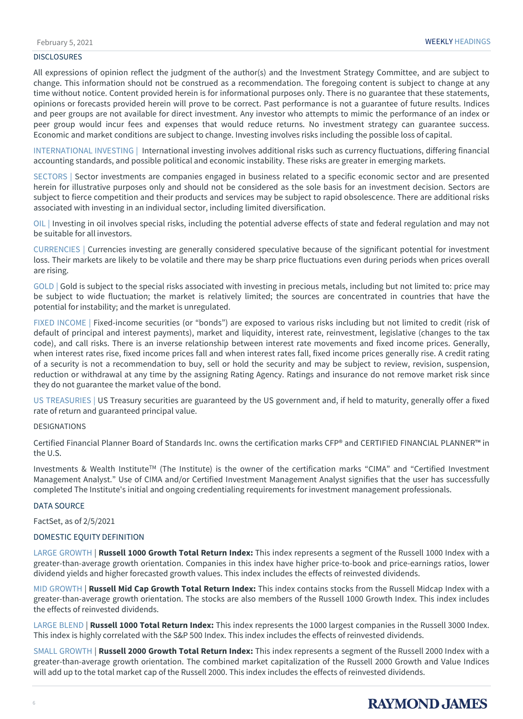#### **DISCLOSURES**

All expressions of opinion reflect the judgment of the author(s) and the Investment Strategy Committee, and are subject to change. This information should not be construed as a recommendation. The foregoing content is subject to change at any time without notice. Content provided herein is for informational purposes only. There is no guarantee that these statements, opinions or forecasts provided herein will prove to be correct. Past performance is not a guarantee of future results. Indices and peer groups are not available for direct investment. Any investor who attempts to mimic the performance of an index or peer group would incur fees and expenses that would reduce returns. No investment strategy can guarantee success. Economic and market conditions are subject to change. Investing involves risks including the possible loss of capital.

INTERNATIONAL INVESTING | International investing involves additional risks such as currency fluctuations, differing financial accounting standards, and possible political and economic instability. These risks are greater in emerging markets.

SECTORS | Sector investments are companies engaged in business related to a specific economic sector and are presented herein for illustrative purposes only and should not be considered as the sole basis for an investment decision. Sectors are subject to fierce competition and their products and services may be subject to rapid obsolescence. There are additional risks associated with investing in an individual sector, including limited diversification.

OIL | Investing in oil involves special risks, including the potential adverse effects of state and federal regulation and may not be suitable for all investors.

CURRENCIES | Currencies investing are generally considered speculative because of the significant potential for investment loss. Their markets are likely to be volatile and there may be sharp price fluctuations even during periods when prices overall are rising.

GOLD | Gold is subject to the special risks associated with investing in precious metals, including but not limited to: price may be subject to wide fluctuation; the market is relatively limited; the sources are concentrated in countries that have the potential for instability; and the market is unregulated.

FIXED INCOME | Fixed-income securities (or "bonds") are exposed to various risks including but not limited to credit (risk of default of principal and interest payments), market and liquidity, interest rate, reinvestment, legislative (changes to the tax code), and call risks. There is an inverse relationship between interest rate movements and fixed income prices. Generally, when interest rates rise, fixed income prices fall and when interest rates fall, fixed income prices generally rise. A credit rating of a security is not a recommendation to buy, sell or hold the security and may be subject to review, revision, suspension, reduction or withdrawal at any time by the assigning Rating Agency. Ratings and insurance do not remove market risk since they do not guarantee the market value of the bond.

US TREASURIES | US Treasury securities are guaranteed by the US government and, if held to maturity, generally offer a fixed rate of return and guaranteed principal value.

#### DESIGNATIONS

Certified Financial Planner Board of Standards Inc. owns the certification marks CFP® and CERTIFIED FINANCIAL PLANNER™ in the U.S.

Investments & Wealth InstituteTM (The Institute) is the owner of the certification marks "CIMA" and "Certified Investment Management Analyst." Use of CIMA and/or Certified Investment Management Analyst signifies that the user has successfully completed The Institute's initial and ongoing credentialing requirements for investment management professionals.

#### DATA SOURCE

FactSet, as of 2/5/2021

#### DOMESTIC EQUITY DEFINITION

LARGE GROWTH | **Russell 1000 Growth Total Return Index:** This index represents a segment of the Russell 1000 Index with a greater-than-average growth orientation. Companies in this index have higher price-to-book and price-earnings ratios, lower dividend yields and higher forecasted growth values. This index includes the effects of reinvested dividends.

MID GROWTH | **Russell Mid Cap Growth Total Return Index:** This index contains stocks from the Russell Midcap Index with a greater-than-average growth orientation. The stocks are also members of the Russell 1000 Growth Index. This index includes the effects of reinvested dividends.

LARGE BLEND | **Russell 1000 Total Return Index:** This index represents the 1000 largest companies in the Russell 3000 Index. This index is highly correlated with the S&P 500 Index. This index includes the effects of reinvested dividends.

SMALL GROWTH | **Russell 2000 Growth Total Return Index:** This index represents a segment of the Russell 2000 Index with a greater-than-average growth orientation. The combined market capitalization of the Russell 2000 Growth and Value Indices will add up to the total market cap of the Russell 2000. This index includes the effects of reinvested dividends.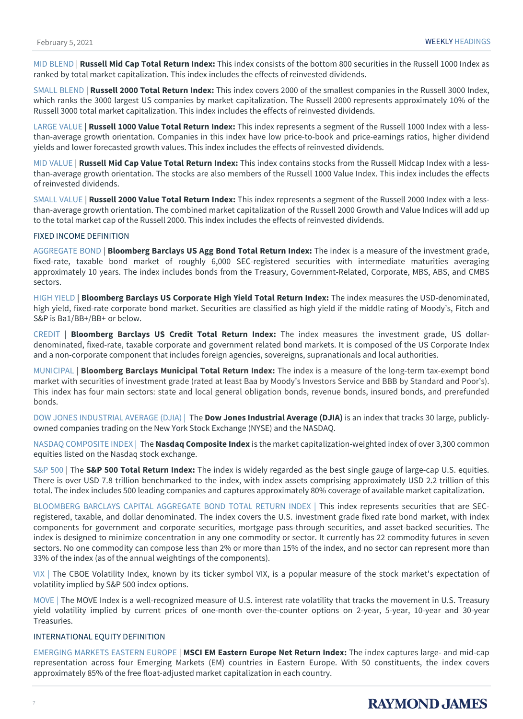MID BLEND | **Russell Mid Cap Total Return Index:** This index consists of the bottom 800 securities in the Russell 1000 Index as ranked by total market capitalization. This index includes the effects of reinvested dividends.

SMALL BLEND | **Russell 2000 Total Return Index:** This index covers 2000 of the smallest companies in the Russell 3000 Index, which ranks the 3000 largest US companies by market capitalization. The Russell 2000 represents approximately 10% of the Russell 3000 total market capitalization. This index includes the effects of reinvested dividends.

LARGE VALUE | **Russell 1000 Value Total Return Index:** This index represents a segment of the Russell 1000 Index with a lessthan-average growth orientation. Companies in this index have low price-to-book and price-earnings ratios, higher dividend yields and lower forecasted growth values. This index includes the effects of reinvested dividends.

MID VALUE | **Russell Mid Cap Value Total Return Index:** This index contains stocks from the Russell Midcap Index with a lessthan-average growth orientation. The stocks are also members of the Russell 1000 Value Index. This index includes the effects of reinvested dividends.

SMALL VALUE | **Russell 2000 Value Total Return Index:** This index represents a segment of the Russell 2000 Index with a lessthan-average growth orientation. The combined market capitalization of the Russell 2000 Growth and Value Indices will add up to the total market cap of the Russell 2000. This index includes the effects of reinvested dividends.

#### FIXED INCOME DEFINITION

AGGREGATE BOND | **Bloomberg Barclays US Agg Bond Total Return Index:** The index is a measure of the investment grade, fixed-rate, taxable bond market of roughly 6,000 SEC-registered securities with intermediate maturities averaging approximately 10 years. The index includes bonds from the Treasury, Government-Related, Corporate, MBS, ABS, and CMBS sectors.

HIGH YIELD | **Bloomberg Barclays US Corporate High Yield Total Return Index:** The index measures the USD-denominated, high yield, fixed-rate corporate bond market. Securities are classified as high yield if the middle rating of Moody's, Fitch and S&P is Ba1/BB+/BB+ or below.

CREDIT | **Bloomberg Barclays US Credit Total Return Index:** The index measures the investment grade, US dollardenominated, fixed-rate, taxable corporate and government related bond markets. It is composed of the US Corporate Index and a non-corporate component that includes foreign agencies, sovereigns, supranationals and local authorities.

MUNICIPAL | **Bloomberg Barclays Municipal Total Return Index:** The index is a measure of the long-term tax-exempt bond market with securities of investment grade (rated at least Baa by Moody's Investors Service and BBB by Standard and Poor's). This index has four main sectors: state and local general obligation bonds, revenue bonds, insured bonds, and prerefunded bonds.

DOW JONES INDUSTRIAL AVERAGE (DJIA) | The **Dow Jones Industrial Average (DJIA)** is an index that tracks 30 large, publiclyowned companies trading on the New York Stock Exchange (NYSE) and the NASDAQ.

NASDAQ COMPOSITE INDEX | The **Nasdaq Composite Index** is the market capitalization-weighted index of over 3,300 common equities listed on the Nasdaq stock exchange.

S&P 500 | The **S&P 500 Total Return Index:** The index is widely regarded as the best single gauge of large-cap U.S. equities. There is over USD 7.8 trillion benchmarked to the index, with index assets comprising approximately USD 2.2 trillion of this total. The index includes 500 leading companies and captures approximately 80% coverage of available market capitalization.

BLOOMBERG BARCLAYS CAPITAL AGGREGATE BOND TOTAL RETURN INDEX | This index represents securities that are SECregistered, taxable, and dollar denominated. The index covers the U.S. investment grade fixed rate bond market, with index components for government and corporate securities, mortgage pass-through securities, and asset-backed securities. The index is designed to minimize concentration in any one commodity or sector. It currently has 22 commodity futures in seven sectors. No one commodity can compose less than 2% or more than 15% of the index, and no sector can represent more than 33% of the index (as of the annual weightings of the components).

VIX | The CBOE Volatility Index, known by its ticker symbol VIX, is a popular measure of the stock market's expectation of volatility implied by S&P 500 index options.

MOVE | The MOVE Index is a well-recognized measure of U.S. interest rate volatility that tracks the movement in U.S. Treasury yield volatility implied by current prices of one-month over-the-counter options on 2-year, 5-year, 10-year and 30-year Treasuries.

#### INTERNATIONAL EQUITY DEFINITION

EMERGING MARKETS EASTERN EUROPE | **MSCI EM Eastern Europe Net Return Index:** The index captures large- and mid-cap representation across four Emerging Markets (EM) countries in Eastern Europe. With 50 constituents, the index covers approximately 85% of the free float-adjusted market capitalization in each country.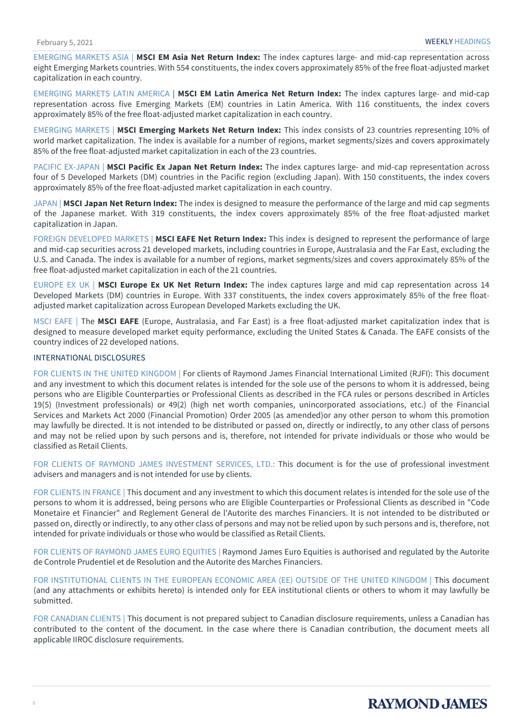EMERGING MARKETS ASIA | **MSCI EM Asia Net Return Index:** The index captures large- and mid-cap representation across eight Emerging Markets countries. With 554 constituents, the index covers approximately 85% of the free float-adjusted market capitalization in each country.

EMERGING MARKETS LATIN AMERICA | **MSCI EM Latin America Net Return Index:** The index captures large- and mid-cap representation across five Emerging Markets (EM) countries in Latin America. With 116 constituents, the index covers approximately 85% of the free float-adjusted market capitalization in each country.

EMERGING MARKETS | **MSCI Emerging Markets Net Return Index:** This index consists of 23 countries representing 10% of world market capitalization. The index is available for a number of regions, market segments/sizes and covers approximately 85% of the free float-adjusted market capitalization in each of the 23 countries.

PACIFIC EX-JAPAN | **MSCI Pacific Ex Japan Net Return Index:** The index captures large- and mid-cap representation across four of 5 Developed Markets (DM) countries in the Pacific region (excluding Japan). With 150 constituents, the index covers approximately 85% of the free float-adjusted market capitalization in each country.

JAPAN | **MSCI Japan Net Return Index:** The index is designed to measure the performance of the large and mid cap segments of the Japanese market. With 319 constituents, the index covers approximately 85% of the free float-adjusted market capitalization in Japan.

FOREIGN DEVELOPED MARKETS | **MSCI EAFE Net Return Index:** This index is designed to represent the performance of large and mid-cap securities across 21 developed markets, including countries in Europe, Australasia and the Far East, excluding the U.S. and Canada. The index is available for a number of regions, market segments/sizes and covers approximately 85% of the free float-adjusted market capitalization in each of the 21 countries.

EUROPE EX UK | **MSCI Europe Ex UK Net Return Index:** The index captures large and mid cap representation across 14 Developed Markets (DM) countries in Europe. With 337 constituents, the index covers approximately 85% of the free floatadjusted market capitalization across European Developed Markets excluding the UK.

MSCI EAFE | The **MSCI EAFE** (Europe, Australasia, and Far East) is a free float-adjusted market capitalization index that is designed to measure developed market equity performance, excluding the United States & Canada. The EAFE consists of the country indices of 22 developed nations.

#### INTERNATIONAL DISCLOSURES

FOR CLIENTS IN THE UNITED KINGDOM | For clients of Raymond James Financial International Limited (RJFI): This document and any investment to which this document relates is intended for the sole use of the persons to whom it is addressed, being persons who are Eligible Counterparties or Professional Clients as described in the FCA rules or persons described in Articles 19(5) (Investment professionals) or 49(2) (high net worth companies, unincorporated associations, etc.) of the Financial Services and Markets Act 2000 (Financial Promotion) Order 2005 (as amended)or any other person to whom this promotion may lawfully be directed. It is not intended to be distributed or passed on, directly or indirectly, to any other class of persons and may not be relied upon by such persons and is, therefore, not intended for private individuals or those who would be classified as Retail Clients.

FOR CLIENTS OF RAYMOND JAMES INVESTMENT SERVICES, LTD.: This document is for the use of professional investment advisers and managers and is not intended for use by clients.

FOR CLIENTS IN FRANCE | This document and any investment to which this document relates is intended for the sole use of the persons to whom it is addressed, being persons who are Eligible Counterparties or Professional Clients as described in "Code Monetaire et Financier" and Reglement General de l'Autorite des marches Financiers. It is not intended to be distributed or passed on, directly or indirectly, to any other class of persons and may not be relied upon by such persons and is, therefore, not intended for private individuals or those who would be classified as Retail Clients.

FOR CLIENTS OF RAYMOND JAMES EURO EQUITIES | Raymond James Euro Equities is authorised and regulated by the Autorite de Controle Prudentiel et de Resolution and the Autorite des Marches Financiers.

FOR INSTITUTIONAL CLIENTS IN THE EUROPEAN ECONOMIC AREA (EE) OUTSIDE OF THE UNITED KINGDOM | This document (and any attachments or exhibits hereto) is intended only for EEA institutional clients or others to whom it may lawfully be submitted.

FOR CANADIAN CLIENTS | This document is not prepared subject to Canadian disclosure requirements, unless a Canadian has contributed to the content of the document. In the case where there is Canadian contribution, the document meets all applicable IIROC disclosure requirements.